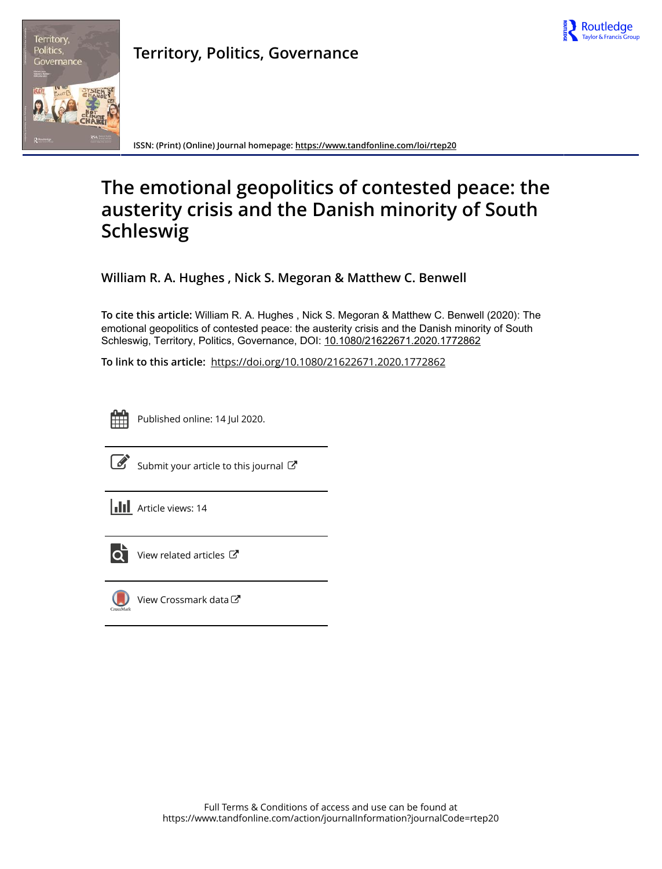



**Territory, Politics, Governance**

**ISSN: (Print) (Online) Journal homepage:<https://www.tandfonline.com/loi/rtep20>**

# **The emotional geopolitics of contested peace: the austerity crisis and the Danish minority of South Schleswig**

**William R. A. Hughes , Nick S. Megoran & Matthew C. Benwell**

**To cite this article:** William R. A. Hughes , Nick S. Megoran & Matthew C. Benwell (2020): The emotional geopolitics of contested peace: the austerity crisis and the Danish minority of South Schleswig, Territory, Politics, Governance, DOI: [10.1080/21622671.2020.1772862](https://www.tandfonline.com/action/showCitFormats?doi=10.1080/21622671.2020.1772862)

**To link to this article:** <https://doi.org/10.1080/21622671.2020.1772862>



Published online: 14 Jul 2020.



 $\overrightarrow{S}$  [Submit your article to this journal](https://www.tandfonline.com/action/authorSubmission?journalCode=rtep20&show=instructions)  $\overrightarrow{S}$ 





 $\overrightarrow{Q}$  [View related articles](https://www.tandfonline.com/doi/mlt/10.1080/21622671.2020.1772862)  $\overrightarrow{C}$ 



[View Crossmark data](http://crossmark.crossref.org/dialog/?doi=10.1080/21622671.2020.1772862&domain=pdf&date_stamp=2020-07-14) $\mathbb{Z}$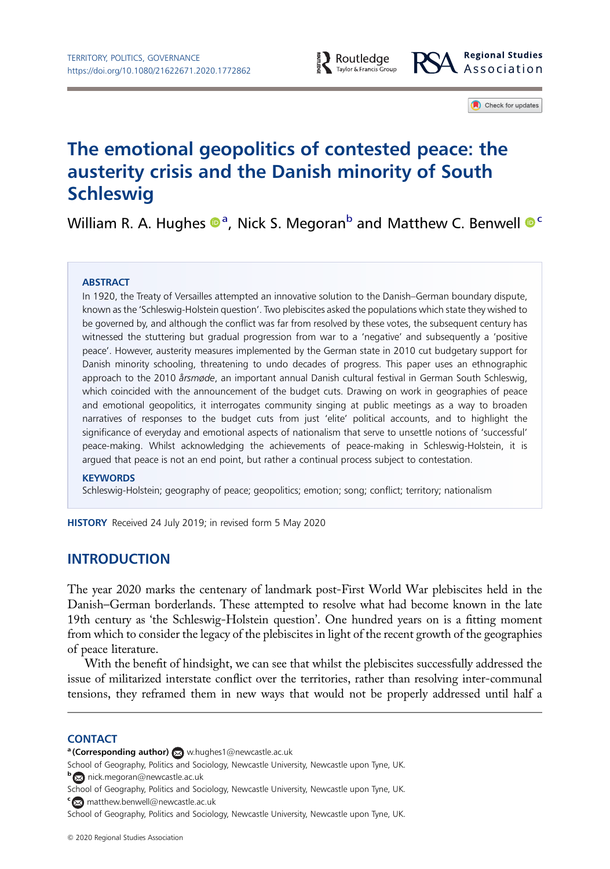

Check for updates

## The emotional geopolitics of contested peace: the austerity crisis and the Danish minority of South **Schleswig**

William R. A. Hughes  $\mathbf{P}^{\mathsf{a}}$ , Nick S. Megoran<sup>b</sup> and Matthew C. Benwell  $\mathbf{P}^{\mathsf{c}}$ 

#### **ABSTRACT**

In 1920, the Treaty of Versailles attempted an innovative solution to the Danish–German boundary dispute, known as the 'Schleswig-Holstein question'. Two plebiscites asked the populations which state they wished to be governed by, and although the conflict was far from resolved by these votes, the subsequent century has witnessed the stuttering but gradual progression from war to a 'negative' and subsequently a 'positive peace'. However, austerity measures implemented by the German state in 2010 cut budgetary support for Danish minority schooling, threatening to undo decades of progress. This paper uses an ethnographic approach to the 2010 årsmøde, an important annual Danish cultural festival in German South Schleswig, which coincided with the announcement of the budget cuts. Drawing on work in geographies of peace and emotional geopolitics, it interrogates community singing at public meetings as a way to broaden narratives of responses to the budget cuts from just 'elite' political accounts, and to highlight the significance of everyday and emotional aspects of nationalism that serve to unsettle notions of 'successful' peace-making. Whilst acknowledging the achievements of peace-making in Schleswig-Holstein, it is argued that peace is not an end point, but rather a continual process subject to contestation.

#### **KEYWORDS**

Schleswig-Holstein; geography of peace; geopolitics; emotion; song; conflict; territory; nationalism

HISTORY Received 24 July 2019; in revised form 5 May 2020

## **INTRODUCTION**

The year 2020 marks the centenary of landmark post-First World War plebiscites held in the Danish–German borderlands. These attempted to resolve what had become known in the late 19th century as 'the Schleswig-Holstein question'. One hundred years on is a fitting moment from which to consider the legacy of the plebiscites in light of the recent growth of the geographies of peace literature.

With the benefit of hindsight, we can see that whilst the plebiscites successfully addressed the issue of militarized interstate conflict over the territories, rather than resolving inter-communal tensions, they reframed them in new ways that would not be properly addressed until half a

#### **CONTACT**

a (Corresponding author) a [w.hughes1@newcastle.ac.uk](mailto:w.hughes1@newcastle.ac.uk)

School of Geography, Politics and Sociology, Newcastle University, Newcastle upon Tyne, UK. **b** a[nick.megoran@newcastle.ac.uk](mailto:nick.megoran@newcastle.ac.uk)

 $\infty$  [matthew.benwell@newcastle.ac.uk](mailto:matthew.benwell@newcastle.ac.uk)

School of Geography, Politics and Sociology, Newcastle University, Newcastle upon Tyne, UK.

School of Geography, Politics and Sociology, Newcastle University, Newcastle upon Tyne, UK.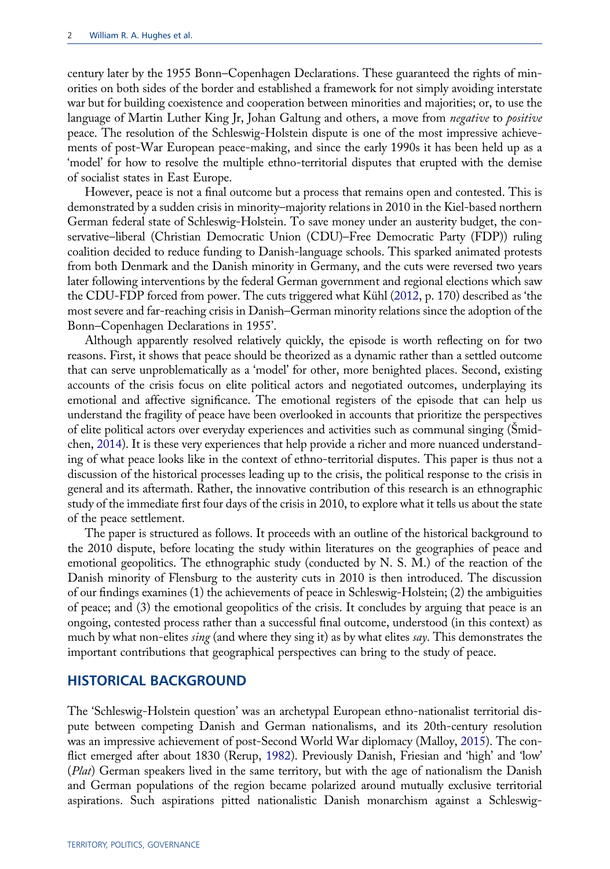<span id="page-2-0"></span>century later by the 1955 Bonn–Copenhagen Declarations. These guaranteed the rights of minorities on both sides of the border and established a framework for not simply avoiding interstate war but for building coexistence and cooperation between minorities and majorities; or, to use the language of Martin Luther King Jr, Johan Galtung and others, a move from *negative* to *positive* peace. The resolution of the Schleswig-Holstein dispute is one of the most impressive achievements of post-War European peace-making, and since the early 1990s it has been held up as a 'model' for how to resolve the multiple ethno-territorial disputes that erupted with the demise of socialist states in East Europe.

However, peace is not a final outcome but a process that remains open and contested. This is demonstrated by a sudden crisis in minority–majority relations in 2010 in the Kiel-based northern German federal state of Schleswig-Holstein. To save money under an austerity budget, the conservative–liberal (Christian Democratic Union (CDU)–Free Democratic Party (FDP)) ruling coalition decided to reduce funding to Danish-language schools. This sparked animated protests from both Denmark and the Danish minority in Germany, and the cuts were reversed two years later following interventions by the federal German government and regional elections which saw the CDU-FDP forced from power. The cuts triggered what Kühl ([2012,](#page-17-0) p. 170) described as 'the most severe and far-reaching crisis in Danish–German minority relations since the adoption of the Bonn–Copenhagen Declarations in 1955'.

Although apparently resolved relatively quickly, the episode is worth reflecting on for two reasons. First, it shows that peace should be theorized as a dynamic rather than a settled outcome that can serve unproblematically as a 'model' for other, more benighted places. Second, existing accounts of the crisis focus on elite political actors and negotiated outcomes, underplaying its emotional and affective significance. The emotional registers of the episode that can help us understand the fragility of peace have been overlooked in accounts that prioritize the perspectives of elite political actors over everyday experiences and activities such as communal singing (Šmidchen, [2014](#page-19-0)). It is these very experiences that help provide a richer and more nuanced understanding of what peace looks like in the context of ethno-territorial disputes. This paper is thus not a discussion of the historical processes leading up to the crisis, the political response to the crisis in general and its aftermath. Rather, the innovative contribution of this research is an ethnographic study of the immediate first four days of the crisis in 2010, to explore what it tells us about the state of the peace settlement.

The paper is structured as follows. It proceeds with an outline of the historical background to the 2010 dispute, before locating the study within literatures on the geographies of peace and emotional geopolitics. The ethnographic study (conducted by N. S. M.) of the reaction of the Danish minority of Flensburg to the austerity cuts in 2010 is then introduced. The discussion of our findings examines (1) the achievements of peace in Schleswig-Holstein; (2) the ambiguities of peace; and (3) the emotional geopolitics of the crisis. It concludes by arguing that peace is an ongoing, contested process rather than a successful final outcome, understood (in this context) as much by what non-elites sing (and where they sing it) as by what elites say. This demonstrates the important contributions that geographical perspectives can bring to the study of peace.

#### HISTORICAL BACKGROUND

The 'Schleswig-Holstein question' was an archetypal European ethno-nationalist territorial dispute between competing Danish and German nationalisms, and its 20th-century resolution was an impressive achievement of post-Second World War diplomacy (Malloy, [2015\)](#page-18-0). The conflict emerged after about 1830 (Rerup, [1982](#page-18-0)). Previously Danish, Friesian and 'high' and 'low' (Plat) German speakers lived in the same territory, but with the age of nationalism the Danish and German populations of the region became polarized around mutually exclusive territorial aspirations. Such aspirations pitted nationalistic Danish monarchism against a Schleswig-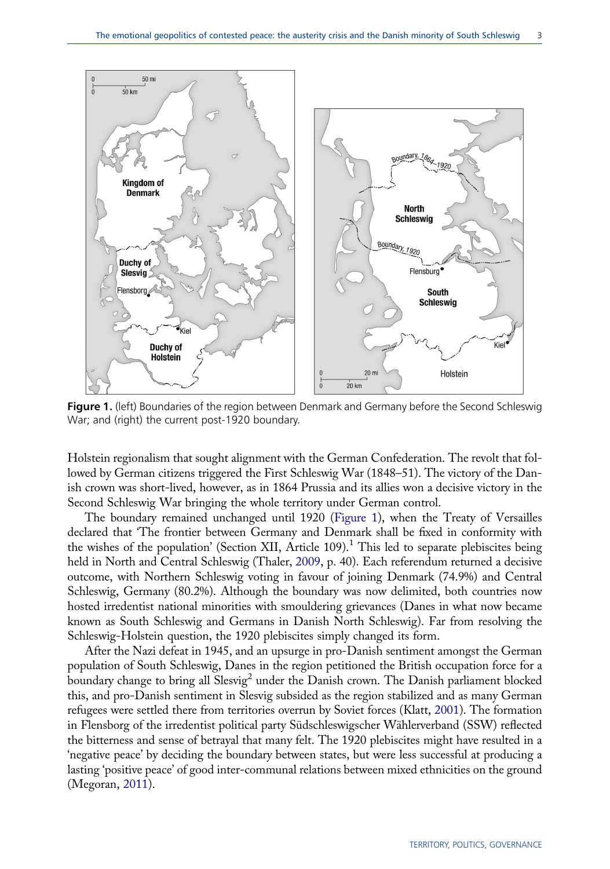<span id="page-3-0"></span>

Figure 1. (left) Boundaries of the region between Denmark and Germany before the Second Schleswig War; and (right) the current post-1920 boundary.

Holstein regionalism that sought alignment with the German Confederation. The revolt that followed by German citizens triggered the First Schleswig War (1848–51). The victory of the Danish crown was short-lived, however, as in 1864 Prussia and its allies won a decisive victory in the Second Schleswig War bringing the whole territory under German control.

The boundary remained unchanged until 1920 (Figure 1), when the Treaty of Versailles declared that 'The frontier between Germany and Denmark shall be fixed in conformity with the wishes of the population' (Section XII, Article 109).<sup>1</sup> This led to separate plebiscites being held in North and Central Schleswig (Thaler, [2009](#page-19-0), p. 40). Each referendum returned a decisive outcome, with Northern Schleswig voting in favour of joining Denmark (74.9%) and Central Schleswig, Germany (80.2%). Although the boundary was now delimited, both countries now hosted irredentist national minorities with smouldering grievances (Danes in what now became known as South Schleswig and Germans in Danish North Schleswig). Far from resolving the Schleswig-Holstein question, the 1920 plebiscites simply changed its form.

After the Nazi defeat in 1945, and an upsurge in pro-Danish sentiment amongst the German population of South Schleswig, Danes in the region petitioned the British occupation force for a boundary change to bring all  $S$ lesvig<sup>2</sup> under the Danish crown. The Danish parliament blocked this, and pro-Danish sentiment in Slesvig subsided as the region stabilized and as many German refugees were settled there from territories overrun by Soviet forces (Klatt, [2001\)](#page-17-0). The formation in Flensborg of the irredentist political party Südschleswigscher Wählerverband (SSW) reflected the bitterness and sense of betrayal that many felt. The 1920 plebiscites might have resulted in a 'negative peace' by deciding the boundary between states, but were less successful at producing a lasting 'positive peace' of good inter-communal relations between mixed ethnicities on the ground (Megoran, [2011\)](#page-18-0).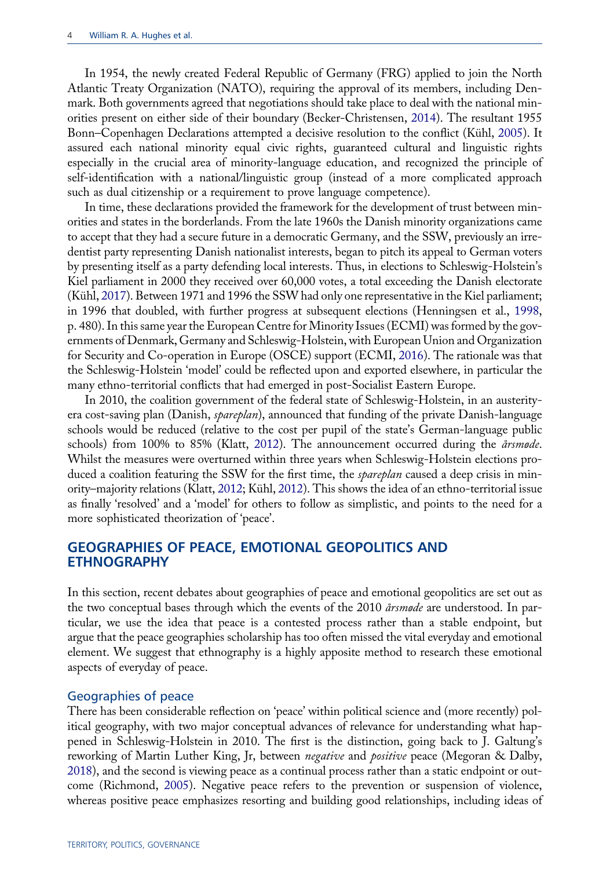<span id="page-4-0"></span>In 1954, the newly created Federal Republic of Germany (FRG) applied to join the North Atlantic Treaty Organization (NATO), requiring the approval of its members, including Denmark. Both governments agreed that negotiations should take place to deal with the national minorities present on either side of their boundary (Becker-Christensen, [2014\)](#page-17-0). The resultant 1955 Bonn–Copenhagen Declarations attempted a decisive resolution to the conflict (Kühl, [2005](#page-17-0)). It assured each national minority equal civic rights, guaranteed cultural and linguistic rights especially in the crucial area of minority-language education, and recognized the principle of self-identification with a national/linguistic group (instead of a more complicated approach such as dual citizenship or a requirement to prove language competence).

In time, these declarations provided the framework for the development of trust between minorities and states in the borderlands. From the late 1960s the Danish minority organizations came to accept that they had a secure future in a democratic Germany, and the SSW, previously an irredentist party representing Danish nationalist interests, began to pitch its appeal to German voters by presenting itself as a party defending local interests. Thus, in elections to Schleswig-Holstein's Kiel parliament in 2000 they received over 60,000 votes, a total exceeding the Danish electorate (Kühl, [2017](#page-17-0)). Between 1971 and 1996 the SSW had only one representative in the Kiel parliament; in 1996 that doubled, with further progress at subsequent elections (Henningsen et al., [1998](#page-17-0), p. 480). In this same year the European Centre for Minority Issues (ECMI) was formed by the governments of Denmark, Germany and Schleswig-Holstein, with European Union and Organization for Security and Co-operation in Europe (OSCE) support (ECMI, [2016\)](#page-17-0). The rationale was that the Schleswig-Holstein 'model' could be reflected upon and exported elsewhere, in particular the many ethno-territorial conflicts that had emerged in post-Socialist Eastern Europe.

In 2010, the coalition government of the federal state of Schleswig-Holstein, in an austerityera cost-saving plan (Danish, *spareplan*), announced that funding of the private Danish-language schools would be reduced (relative to the cost per pupil of the state's German-language public schools) from 100% to 85% (Klatt, [2012\)](#page-17-0). The announcement occurred during the *årsmøde*. Whilst the measures were overturned within three years when Schleswig-Holstein elections produced a coalition featuring the SSW for the first time, the *spareplan* caused a deep crisis in minority–majority relations (Klatt, [2012](#page-17-0); Kühl, [2012](#page-17-0)). This shows the idea of an ethno-territorial issue as finally 'resolved' and a 'model' for others to follow as simplistic, and points to the need for a more sophisticated theorization of 'peace'.

## GEOGRAPHIES OF PEACE, EMOTIONAL GEOPOLITICS AND ETHNOGRAPHY

In this section, recent debates about geographies of peace and emotional geopolitics are set out as the two conceptual bases through which the events of the 2010 *årsmøde* are understood. In particular, we use the idea that peace is a contested process rather than a stable endpoint, but argue that the peace geographies scholarship has too often missed the vital everyday and emotional element. We suggest that ethnography is a highly apposite method to research these emotional aspects of everyday of peace.

#### Geographies of peace

There has been considerable reflection on 'peace' within political science and (more recently) political geography, with two major conceptual advances of relevance for understanding what happened in Schleswig-Holstein in 2010. The first is the distinction, going back to J. Galtung's reworking of Martin Luther King, Jr, between *negative* and *positive* peace (Megoran & Dalby, [2018\)](#page-18-0), and the second is viewing peace as a continual process rather than a static endpoint or outcome (Richmond, [2005\)](#page-18-0). Negative peace refers to the prevention or suspension of violence, whereas positive peace emphasizes resorting and building good relationships, including ideas of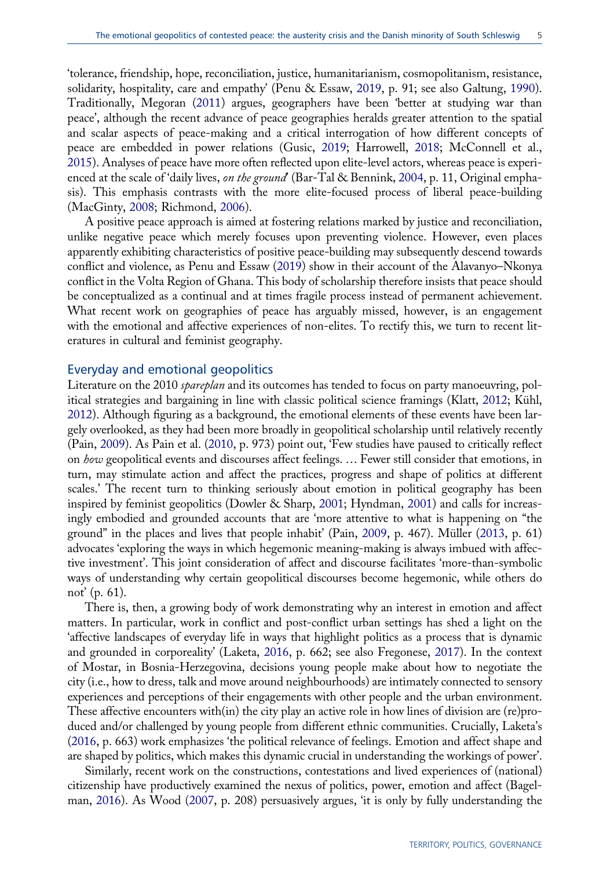<span id="page-5-0"></span>'tolerance, friendship, hope, reconciliation, justice, humanitarianism, cosmopolitanism, resistance, solidarity, hospitality, care and empathy' (Penu & Essaw, [2019,](#page-18-0) p. 91; see also Galtung, [1990\)](#page-17-0). Traditionally, Megoran ([2011\)](#page-18-0) argues, geographers have been 'better at studying war than peace', although the recent advance of peace geographies heralds greater attention to the spatial and scalar aspects of peace-making and a critical interrogation of how different concepts of peace are embedded in power relations (Gusic, [2019](#page-17-0); Harrowell, [2018;](#page-17-0) McConnell et al., [2015\)](#page-18-0). Analyses of peace have more often reflected upon elite-level actors, whereas peace is experi-enced at the scale of 'daily lives, on the ground' (Bar-Tal & Bennink, [2004,](#page-17-0) p. 11, Original emphasis). This emphasis contrasts with the more elite-focused process of liberal peace-building (MacGinty, [2008;](#page-18-0) Richmond, [2006](#page-18-0)).

A positive peace approach is aimed at fostering relations marked by justice and reconciliation, unlike negative peace which merely focuses upon preventing violence. However, even places apparently exhibiting characteristics of positive peace-building may subsequently descend towards conflict and violence, as Penu and Essaw [\(2019](#page-18-0)) show in their account of the Alavanyo–Nkonya conflict in the Volta Region of Ghana. This body of scholarship therefore insists that peace should be conceptualized as a continual and at times fragile process instead of permanent achievement. What recent work on geographies of peace has arguably missed, however, is an engagement with the emotional and affective experiences of non-elites. To rectify this, we turn to recent literatures in cultural and feminist geography.

#### Everyday and emotional geopolitics

Literature on the 2010 *spareplan* and its outcomes has tended to focus on party manoeuvring, political strategies and bargaining in line with classic political science framings (Klatt, [2012](#page-17-0); Kühl, [2012\)](#page-17-0). Although figuring as a background, the emotional elements of these events have been largely overlooked, as they had been more broadly in geopolitical scholarship until relatively recently (Pain, [2009](#page-18-0)). As Pain et al. ([2010,](#page-18-0) p. 973) point out, 'Few studies have paused to critically reflect on how geopolitical events and discourses affect feelings. … Fewer still consider that emotions, in turn, may stimulate action and affect the practices, progress and shape of politics at different scales.' The recent turn to thinking seriously about emotion in political geography has been inspired by feminist geopolitics (Dowler & Sharp, [2001](#page-17-0); Hyndman, [2001\)](#page-17-0) and calls for increasingly embodied and grounded accounts that are 'more attentive to what is happening on "the ground" in the places and lives that people inhabit' (Pain, [2009,](#page-18-0) p. 467). Müller [\(2013](#page-18-0), p. 61) advocates 'exploring the ways in which hegemonic meaning-making is always imbued with affective investment'. This joint consideration of affect and discourse facilitates 'more-than-symbolic ways of understanding why certain geopolitical discourses become hegemonic, while others do not' (p. 61).

There is, then, a growing body of work demonstrating why an interest in emotion and affect matters. In particular, work in conflict and post-conflict urban settings has shed a light on the 'affective landscapes of everyday life in ways that highlight politics as a process that is dynamic and grounded in corporeality' (Laketa, [2016,](#page-18-0) p. 662; see also Fregonese, [2017\)](#page-17-0). In the context of Mostar, in Bosnia-Herzegovina, decisions young people make about how to negotiate the city (i.e., how to dress, talk and move around neighbourhoods) are intimately connected to sensory experiences and perceptions of their engagements with other people and the urban environment. These affective encounters with(in) the city play an active role in how lines of division are (re)produced and/or challenged by young people from different ethnic communities. Crucially, Laketa's ([2016,](#page-18-0) p. 663) work emphasizes 'the political relevance of feelings. Emotion and affect shape and are shaped by politics, which makes this dynamic crucial in understanding the workings of power'.

Similarly, recent work on the constructions, contestations and lived experiences of (national) citizenship have productively examined the nexus of politics, power, emotion and affect (Bagelman, [2016\)](#page-17-0). As Wood [\(2007](#page-19-0), p. 208) persuasively argues, 'it is only by fully understanding the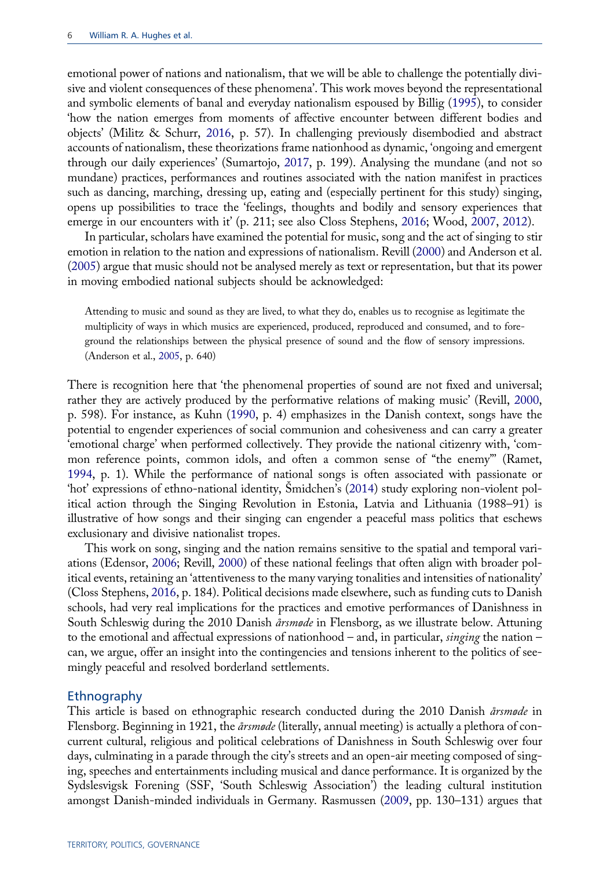<span id="page-6-0"></span>emotional power of nations and nationalism, that we will be able to challenge the potentially divisive and violent consequences of these phenomena'. This work moves beyond the representational and symbolic elements of banal and everyday nationalism espoused by Billig ([1995\)](#page-17-0), to consider 'how the nation emerges from moments of affective encounter between different bodies and objects' (Militz & Schurr, [2016,](#page-18-0) p. 57). In challenging previously disembodied and abstract accounts of nationalism, these theorizations frame nationhood as dynamic, 'ongoing and emergent through our daily experiences' (Sumartojo, [2017](#page-19-0), p. 199). Analysing the mundane (and not so mundane) practices, performances and routines associated with the nation manifest in practices such as dancing, marching, dressing up, eating and (especially pertinent for this study) singing, opens up possibilities to trace the 'feelings, thoughts and bodily and sensory experiences that emerge in our encounters with it' (p. 211; see also Closs Stephens, [2016;](#page-17-0) Wood, [2007](#page-19-0), [2012\)](#page-19-0).

In particular, scholars have examined the potential for music, song and the act of singing to stir emotion in relation to the nation and expressions of nationalism. Revill ([2000\)](#page-18-0) and Anderson et al. ([2005\)](#page-17-0) argue that music should not be analysed merely as text or representation, but that its power in moving embodied national subjects should be acknowledged:

Attending to music and sound as they are lived, to what they do, enables us to recognise as legitimate the multiplicity of ways in which musics are experienced, produced, reproduced and consumed, and to foreground the relationships between the physical presence of sound and the flow of sensory impressions. (Anderson et al., [2005](#page-17-0), p. 640)

There is recognition here that 'the phenomenal properties of sound are not fixed and universal; rather they are actively produced by the performative relations of making music' (Revill, [2000](#page-18-0), p. 598). For instance, as Kuhn ([1990,](#page-17-0) p. 4) emphasizes in the Danish context, songs have the potential to engender experiences of social communion and cohesiveness and can carry a greater 'emotional charge' when performed collectively. They provide the national citizenry with, 'common reference points, common idols, and often a common sense of "the enemy"' (Ramet, [1994,](#page-18-0) p. 1). While the performance of national songs is often associated with passionate or 'hot' expressions of ethno-national identity, Šmidchen's ([2014\)](#page-19-0) study exploring non-violent political action through the Singing Revolution in Estonia, Latvia and Lithuania (1988–91) is illustrative of how songs and their singing can engender a peaceful mass politics that eschews exclusionary and divisive nationalist tropes.

This work on song, singing and the nation remains sensitive to the spatial and temporal variations (Edensor, [2006](#page-17-0); Revill, [2000\)](#page-18-0) of these national feelings that often align with broader political events, retaining an 'attentiveness to the many varying tonalities and intensities of nationality' (Closs Stephens, [2016,](#page-17-0) p. 184). Political decisions made elsewhere, such as funding cuts to Danish schools, had very real implications for the practices and emotive performances of Danishness in South Schleswig during the 2010 Danish årsmøde in Flensborg, as we illustrate below. Attuning to the emotional and affectual expressions of nationhood – and, in particular, *singing* the nation – can, we argue, offer an insight into the contingencies and tensions inherent to the politics of seemingly peaceful and resolved borderland settlements.

#### Ethnography

This article is based on ethnographic research conducted during the 2010 Danish *årsmøde* in Flensborg. Beginning in 1921, the *årsmøde* (literally, annual meeting) is actually a plethora of concurrent cultural, religious and political celebrations of Danishness in South Schleswig over four days, culminating in a parade through the city's streets and an open-air meeting composed of singing, speeches and entertainments including musical and dance performance. It is organized by the Sydslesvigsk Forening (SSF, 'South Schleswig Association') the leading cultural institution amongst Danish-minded individuals in Germany. Rasmussen ([2009,](#page-18-0) pp. 130–131) argues that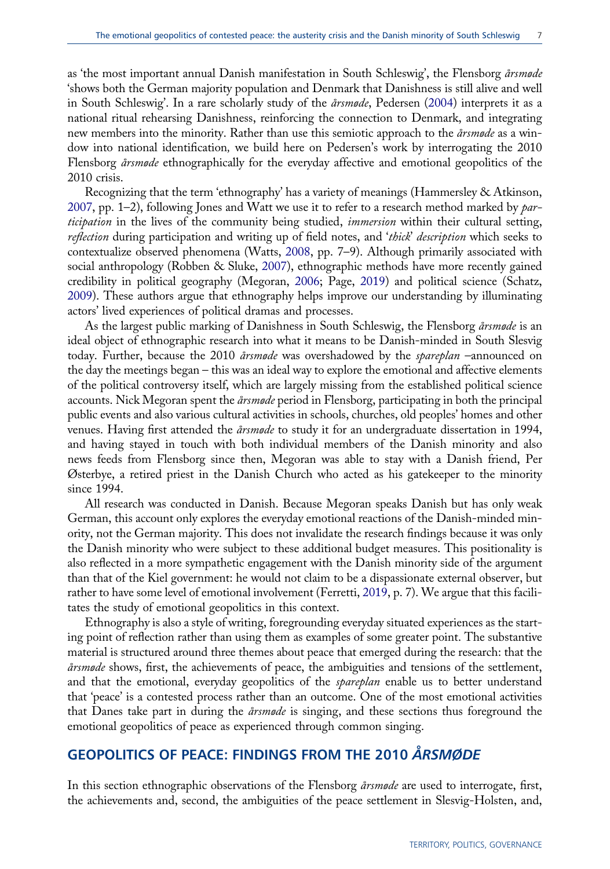<span id="page-7-0"></span>as 'the most important annual Danish manifestation in South Schleswig', the Flensborg *årsmøde* 'shows both the German majority population and Denmark that Danishness is still alive and well in South Schleswig'. In a rare scholarly study of the årsmøde, Pedersen ([2004\)](#page-18-0) interprets it as a national ritual rehearsing Danishness, reinforcing the connection to Denmark, and integrating new members into the minority. Rather than use this semiotic approach to the *årsmode* as a window into national identification, we build here on Pedersen's work by interrogating the 2010 Flensborg *årsmøde* ethnographically for the everyday affective and emotional geopolitics of the 2010 crisis.

Recognizing that the term 'ethnography' has a variety of meanings (Hammersley & Atkinson, [2007,](#page-17-0) pp. 1–2), following Jones and Watt we use it to refer to a research method marked by  $par$ ticipation in the lives of the community being studied, *immersion* within their cultural setting, reflection during participation and writing up of field notes, and 'thick' description which seeks to contextualize observed phenomena (Watts, [2008,](#page-19-0) pp. 7–9). Although primarily associated with social anthropology (Robben & Sluke, [2007\)](#page-19-0), ethnographic methods have more recently gained credibility in political geography (Megoran, [2006;](#page-18-0) Page, [2019\)](#page-18-0) and political science (Schatz, [2009\)](#page-19-0). These authors argue that ethnography helps improve our understanding by illuminating actors' lived experiences of political dramas and processes.

As the largest public marking of Danishness in South Schleswig, the Flensborg *årsmøde* is an ideal object of ethnographic research into what it means to be Danish-minded in South Slesvig today. Further, because the 2010 *årsmøde* was overshadowed by the *spareplan* –announced on the day the meetings began – this was an ideal way to explore the emotional and affective elements of the political controversy itself, which are largely missing from the established political science accounts. Nick Megoran spent the *årsmøde* period in Flensborg, participating in both the principal public events and also various cultural activities in schools, churches, old peoples' homes and other venues. Having first attended the *årsmøde* to study it for an undergraduate dissertation in 1994, and having stayed in touch with both individual members of the Danish minority and also news feeds from Flensborg since then, Megoran was able to stay with a Danish friend, Per Østerbye, a retired priest in the Danish Church who acted as his gatekeeper to the minority since 1994.

All research was conducted in Danish. Because Megoran speaks Danish but has only weak German, this account only explores the everyday emotional reactions of the Danish-minded minority, not the German majority. This does not invalidate the research findings because it was only the Danish minority who were subject to these additional budget measures. This positionality is also reflected in a more sympathetic engagement with the Danish minority side of the argument than that of the Kiel government: he would not claim to be a dispassionate external observer, but rather to have some level of emotional involvement (Ferretti, [2019](#page-17-0), p. 7). We argue that this facilitates the study of emotional geopolitics in this context.

Ethnography is also a style of writing, foregrounding everyday situated experiences as the starting point of reflection rather than using them as examples of some greater point. The substantive material is structured around three themes about peace that emerged during the research: that the årsmøde shows, first, the achievements of peace, the ambiguities and tensions of the settlement, and that the emotional, everyday geopolitics of the *spareplan* enable us to better understand that 'peace' is a contested process rather than an outcome. One of the most emotional activities that Danes take part in during the årsmøde is singing, and these sections thus foreground the emotional geopolitics of peace as experienced through common singing.

## GEOPOLITICS OF PEACE: FINDINGS FROM THE 2010 ÅRSMØDE

In this section ethnographic observations of the Flensborg *årsmøde* are used to interrogate, first, the achievements and, second, the ambiguities of the peace settlement in Slesvig-Holsten, and,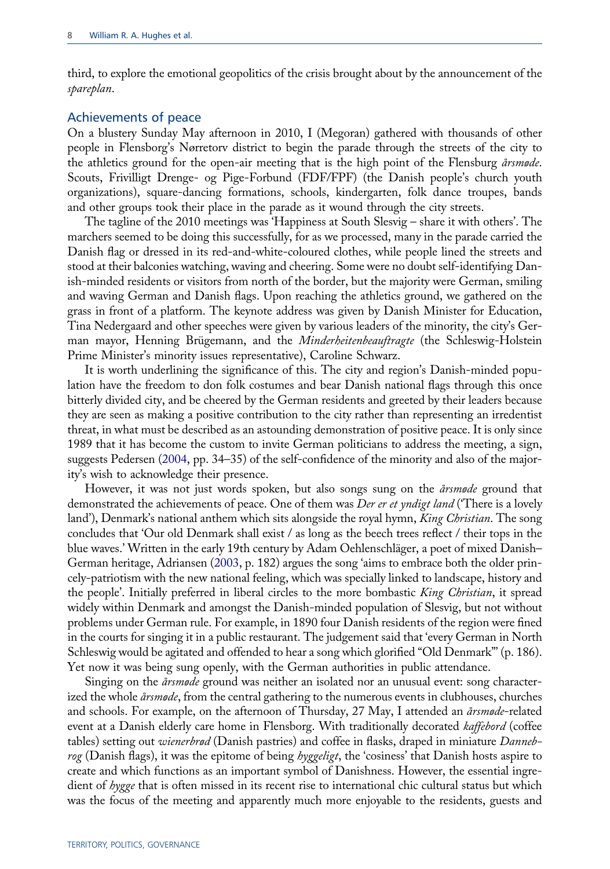<span id="page-8-0"></span>third, to explore the emotional geopolitics of the crisis brought about by the announcement of the spareplan.

#### Achievements of peace

On a blustery Sunday May afternoon in 2010, I (Megoran) gathered with thousands of other people in Flensborg's Nørretorv district to begin the parade through the streets of the city to the athletics ground for the open-air meeting that is the high point of the Flensburg *årsmøde*. Scouts, Frivilligt Drenge- og Pige-Forbund (FDF/FPF) (the Danish people's church youth organizations), square-dancing formations, schools, kindergarten, folk dance troupes, bands and other groups took their place in the parade as it wound through the city streets.

The tagline of the 2010 meetings was 'Happiness at South Slesvig – share it with others'. The marchers seemed to be doing this successfully, for as we processed, many in the parade carried the Danish flag or dressed in its red-and-white-coloured clothes, while people lined the streets and stood at their balconies watching, waving and cheering. Some were no doubt self-identifying Danish-minded residents or visitors from north of the border, but the majority were German, smiling and waving German and Danish flags. Upon reaching the athletics ground, we gathered on the grass in front of a platform. The keynote address was given by Danish Minister for Education, Tina Nedergaard and other speeches were given by various leaders of the minority, the city's German mayor, Henning Brügemann, and the *Minderheitenbeauftragte* (the Schleswig-Holstein Prime Minister's minority issues representative), Caroline Schwarz.

It is worth underlining the significance of this. The city and region's Danish-minded population have the freedom to don folk costumes and bear Danish national flags through this once bitterly divided city, and be cheered by the German residents and greeted by their leaders because they are seen as making a positive contribution to the city rather than representing an irredentist threat, in what must be described as an astounding demonstration of positive peace. It is only since 1989 that it has become the custom to invite German politicians to address the meeting, a sign, suggests Pedersen [\(2004](#page-18-0), pp. 34–35) of the self-confidence of the minority and also of the majority's wish to acknowledge their presence.

However, it was not just words spoken, but also songs sung on the årsmøde ground that demonstrated the achievements of peace. One of them was Der er et yndigt land ('There is a lovely land'), Denmark's national anthem which sits alongside the royal hymn, King Christian. The song concludes that 'Our old Denmark shall exist / as long as the beech trees reflect / their tops in the blue waves.' Written in the early 19th century by Adam Oehlenschläger, a poet of mixed Danish– German heritage, Adriansen [\(2003](#page-16-0), p. 182) argues the song 'aims to embrace both the older princely-patriotism with the new national feeling, which was specially linked to landscape, history and the people'. Initially preferred in liberal circles to the more bombastic King Christian, it spread widely within Denmark and amongst the Danish-minded population of Slesvig, but not without problems under German rule. For example, in 1890 four Danish residents of the region were fined in the courts for singing it in a public restaurant. The judgement said that 'every German in North Schleswig would be agitated and offended to hear a song which glorified "Old Denmark"' (p. 186). Yet now it was being sung openly, with the German authorities in public attendance.

Singing on the *årsmøde* ground was neither an isolated nor an unusual event: song characterized the whole *årsmøde*, from the central gathering to the numerous events in clubhouses, churches and schools. For example, on the afternoon of Thursday, 27 May, I attended an *årsmøde-related* event at a Danish elderly care home in Flensborg. With traditionally decorated kaffebord (coffee tables) setting out wienerbrød (Danish pastries) and coffee in flasks, draped in miniature Dannebrog (Danish flags), it was the epitome of being *hyggeligt*, the 'cosiness' that Danish hosts aspire to create and which functions as an important symbol of Danishness. However, the essential ingredient of hygge that is often missed in its recent rise to international chic cultural status but which was the focus of the meeting and apparently much more enjoyable to the residents, guests and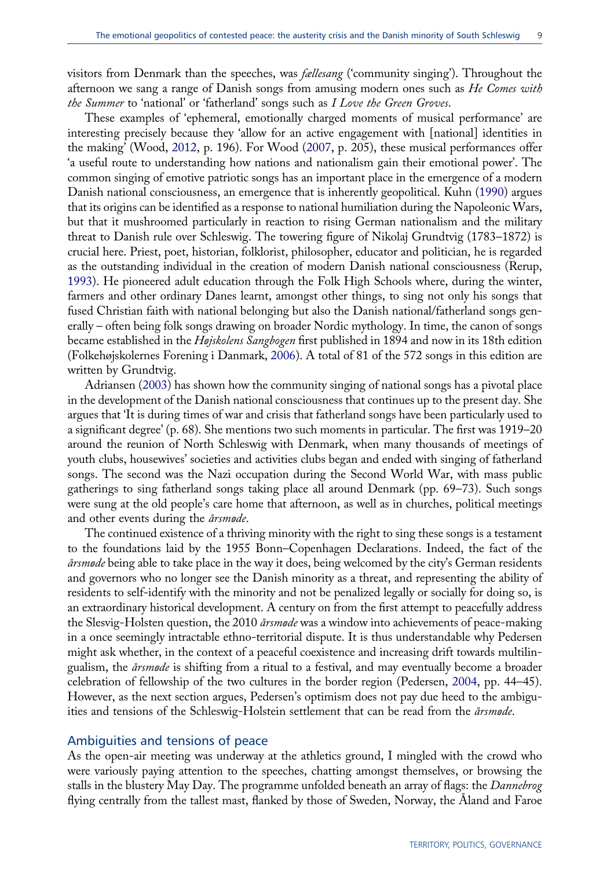<span id="page-9-0"></span>visitors from Denmark than the speeches, was *fællesang* ('community singing'). Throughout the afternoon we sang a range of Danish songs from amusing modern ones such as He Comes with the Summer to 'national' or 'fatherland' songs such as I Love the Green Groves.

These examples of 'ephemeral, emotionally charged moments of musical performance' are interesting precisely because they 'allow for an active engagement with [national] identities in the making' (Wood, [2012](#page-19-0), p. 196). For Wood ([2007,](#page-19-0) p. 205), these musical performances offer 'a useful route to understanding how nations and nationalism gain their emotional power'. The common singing of emotive patriotic songs has an important place in the emergence of a modern Danish national consciousness, an emergence that is inherently geopolitical. Kuhn ([1990\)](#page-17-0) argues that its origins can be identified as a response to national humiliation during the Napoleonic Wars, but that it mushroomed particularly in reaction to rising German nationalism and the military threat to Danish rule over Schleswig. The towering figure of Nikolaj Grundtvig (1783–1872) is crucial here. Priest, poet, historian, folklorist, philosopher, educator and politician, he is regarded as the outstanding individual in the creation of modern Danish national consciousness (Rerup, [1993\)](#page-18-0). He pioneered adult education through the Folk High Schools where, during the winter, farmers and other ordinary Danes learnt, amongst other things, to sing not only his songs that fused Christian faith with national belonging but also the Danish national/fatherland songs generally – often being folk songs drawing on broader Nordic mythology. In time, the canon of songs became established in the Højskolens Sangbogen first published in 1894 and now in its 18th edition (Folkehøjskolernes Forening i Danmark, [2006](#page-17-0)). A total of 81 of the 572 songs in this edition are written by Grundtvig.

Adriansen [\(2003](#page-16-0)) has shown how the community singing of national songs has a pivotal place in the development of the Danish national consciousness that continues up to the present day. She argues that 'It is during times of war and crisis that fatherland songs have been particularly used to a significant degree' (p. 68). She mentions two such moments in particular. The first was 1919–20 around the reunion of North Schleswig with Denmark, when many thousands of meetings of youth clubs, housewives' societies and activities clubs began and ended with singing of fatherland songs. The second was the Nazi occupation during the Second World War, with mass public gatherings to sing fatherland songs taking place all around Denmark (pp. 69–73). Such songs were sung at the old people's care home that afternoon, as well as in churches, political meetings and other events during the årsmøde.

The continued existence of a thriving minority with the right to sing these songs is a testament to the foundations laid by the 1955 Bonn–Copenhagen Declarations. Indeed, the fact of the årsmøde being able to take place in the way it does, being welcomed by the city's German residents and governors who no longer see the Danish minority as a threat, and representing the ability of residents to self-identify with the minority and not be penalized legally or socially for doing so, is an extraordinary historical development. A century on from the first attempt to peacefully address the Slesvig-Holsten question, the 2010 *årsmøde* was a window into achievements of peace-making in a once seemingly intractable ethno-territorial dispute. It is thus understandable why Pedersen might ask whether, in the context of a peaceful coexistence and increasing drift towards multilingualism, the årsmøde is shifting from a ritual to a festival, and may eventually become a broader celebration of fellowship of the two cultures in the border region (Pedersen, [2004,](#page-18-0) pp. 44–45). However, as the next section argues, Pedersen's optimism does not pay due heed to the ambiguities and tensions of the Schleswig-Holstein settlement that can be read from the *årsmøde*.

#### Ambiguities and tensions of peace

As the open-air meeting was underway at the athletics ground, I mingled with the crowd who were variously paying attention to the speeches, chatting amongst themselves, or browsing the stalls in the blustery May Day. The programme unfolded beneath an array of flags: the *Dannebrog* flying centrally from the tallest mast, flanked by those of Sweden, Norway, the Åland and Faroe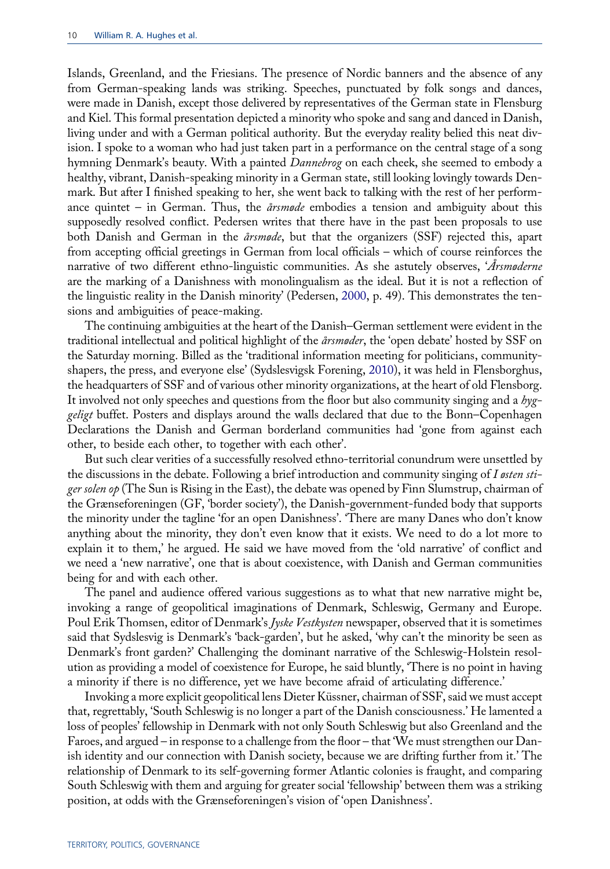<span id="page-10-0"></span>Islands, Greenland, and the Friesians. The presence of Nordic banners and the absence of any from German-speaking lands was striking. Speeches, punctuated by folk songs and dances, were made in Danish, except those delivered by representatives of the German state in Flensburg and Kiel. This formal presentation depicted a minority who spoke and sang and danced in Danish, living under and with a German political authority. But the everyday reality belied this neat division. I spoke to a woman who had just taken part in a performance on the central stage of a song hymning Denmark's beauty. With a painted *Dannebrog* on each cheek, she seemed to embody a healthy, vibrant, Danish-speaking minority in a German state, still looking lovingly towards Denmark. But after I finished speaking to her, she went back to talking with the rest of her performance quintet – in German. Thus, the  $\frac{\partial s}{\partial x}$  embodies a tension and ambiguity about this supposedly resolved conflict. Pedersen writes that there have in the past been proposals to use both Danish and German in the *årsmøde*, but that the organizers (SSF) rejected this, apart from accepting official greetings in German from local officials – which of course reinforces the narrative of two different ethno-linguistic communities. As she astutely observes, 'Årsmøderne are the marking of a Danishness with monolingualism as the ideal. But it is not a reflection of the linguistic reality in the Danish minority' (Pedersen, [2000](#page-18-0), p. 49). This demonstrates the tensions and ambiguities of peace-making.

The continuing ambiguities at the heart of the Danish–German settlement were evident in the traditional intellectual and political highlight of the årsmøder, the 'open debate' hosted by SSF on the Saturday morning. Billed as the 'traditional information meeting for politicians, communityshapers, the press, and everyone else' (Sydslesvigsk Forening, [2010\)](#page-19-0), it was held in Flensborghus, the headquarters of SSF and of various other minority organizations, at the heart of old Flensborg. It involved not only speeches and questions from the floor but also community singing and a  $byg$ *geligt* buffet. Posters and displays around the walls declared that due to the Bonn–Copenhagen Declarations the Danish and German borderland communities had 'gone from against each other, to beside each other, to together with each other'.

But such clear verities of a successfully resolved ethno-territorial conundrum were unsettled by the discussions in the debate. Following a brief introduction and community singing of I østen stiger solen op (The Sun is Rising in the East), the debate was opened by Finn Slumstrup, chairman of the Grænseforeningen (GF, 'border society'), the Danish-government-funded body that supports the minority under the tagline 'for an open Danishness'. 'There are many Danes who don't know anything about the minority, they don't even know that it exists. We need to do a lot more to explain it to them,' he argued. He said we have moved from the 'old narrative' of conflict and we need a 'new narrative', one that is about coexistence, with Danish and German communities being for and with each other.

The panel and audience offered various suggestions as to what that new narrative might be, invoking a range of geopolitical imaginations of Denmark, Schleswig, Germany and Europe. Poul Erik Thomsen, editor of Denmark's *Jyske Vestkysten* newspaper, observed that it is sometimes said that Sydslesvig is Denmark's 'back-garden', but he asked, 'why can't the minority be seen as Denmark's front garden?' Challenging the dominant narrative of the Schleswig-Holstein resolution as providing a model of coexistence for Europe, he said bluntly, 'There is no point in having a minority if there is no difference, yet we have become afraid of articulating difference.'

Invoking a more explicit geopolitical lens Dieter Küssner, chairman of SSF, said we must accept that, regrettably, 'South Schleswig is no longer a part of the Danish consciousness.' He lamented a loss of peoples' fellowship in Denmark with not only South Schleswig but also Greenland and the Faroes, and argued – in response to a challenge from the floor – that 'We must strengthen our Danish identity and our connection with Danish society, because we are drifting further from it.' The relationship of Denmark to its self-governing former Atlantic colonies is fraught, and comparing South Schleswig with them and arguing for greater social 'fellowship' between them was a striking position, at odds with the Grænseforeningen's vision of 'open Danishness'.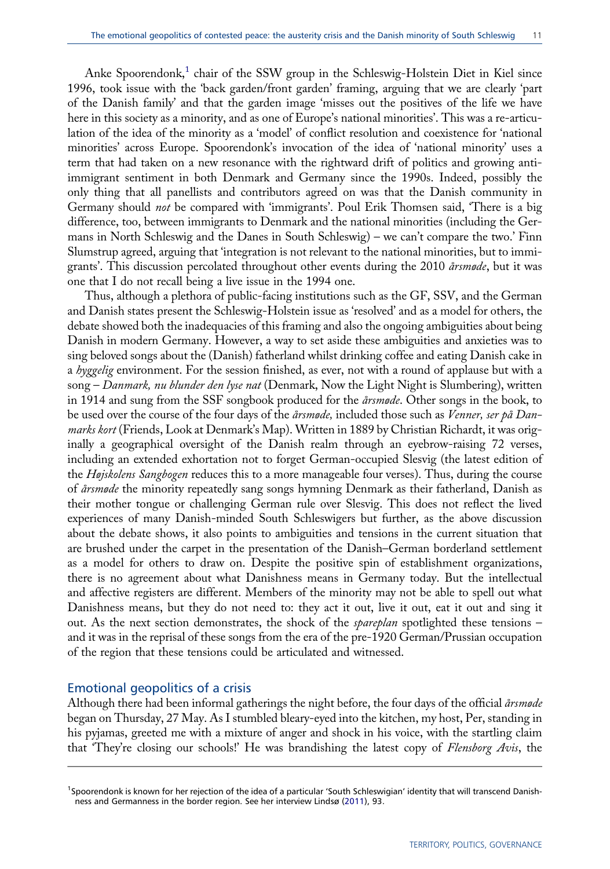<span id="page-11-0"></span>Anke Spoorendonk, $<sup>1</sup>$  chair of the SSW group in the Schleswig-Holstein Diet in Kiel since</sup> 1996, took issue with the 'back garden/front garden' framing, arguing that we are clearly 'part of the Danish family' and that the garden image 'misses out the positives of the life we have here in this society as a minority, and as one of Europe's national minorities'. This was a re-articulation of the idea of the minority as a 'model' of conflict resolution and coexistence for 'national minorities' across Europe. Spoorendonk's invocation of the idea of 'national minority' uses a term that had taken on a new resonance with the rightward drift of politics and growing antiimmigrant sentiment in both Denmark and Germany since the 1990s. Indeed, possibly the only thing that all panellists and contributors agreed on was that the Danish community in Germany should not be compared with 'immigrants'. Poul Erik Thomsen said, 'There is a big difference, too, between immigrants to Denmark and the national minorities (including the Germans in North Schleswig and the Danes in South Schleswig) – we can't compare the two.' Finn Slumstrup agreed, arguing that 'integration is not relevant to the national minorities, but to immigrants'. This discussion percolated throughout other events during the 2010 *årsmøde*, but it was one that I do not recall being a live issue in the 1994 one.

Thus, although a plethora of public-facing institutions such as the GF, SSV, and the German and Danish states present the Schleswig-Holstein issue as 'resolved' and as a model for others, the debate showed both the inadequacies of this framing and also the ongoing ambiguities about being Danish in modern Germany. However, a way to set aside these ambiguities and anxieties was to sing beloved songs about the (Danish) fatherland whilst drinking coffee and eating Danish cake in a hyggelig environment. For the session finished, as ever, not with a round of applause but with a song – Danmark, nu blunder den lyse nat (Denmark, Now the Light Night is Slumbering), written in 1914 and sung from the SSF songbook produced for the *årsmøde*. Other songs in the book, to be used over the course of the four days of the årsmøde, included those such as Venner, ser på Danmarks kort (Friends, Look at Denmark's Map). Written in 1889 by Christian Richardt, it was originally a geographical oversight of the Danish realm through an eyebrow-raising 72 verses, including an extended exhortation not to forget German-occupied Slesvig (the latest edition of the Højskolens Sangbogen reduces this to a more manageable four verses). Thus, during the course of årsmøde the minority repeatedly sang songs hymning Denmark as their fatherland, Danish as their mother tongue or challenging German rule over Slesvig. This does not reflect the lived experiences of many Danish-minded South Schleswigers but further, as the above discussion about the debate shows, it also points to ambiguities and tensions in the current situation that are brushed under the carpet in the presentation of the Danish–German borderland settlement as a model for others to draw on. Despite the positive spin of establishment organizations, there is no agreement about what Danishness means in Germany today. But the intellectual and affective registers are different. Members of the minority may not be able to spell out what Danishness means, but they do not need to: they act it out, live it out, eat it out and sing it out. As the next section demonstrates, the shock of the *spareplan* spotlighted these tensions – and it was in the reprisal of these songs from the era of the pre-1920 German/Prussian occupation of the region that these tensions could be articulated and witnessed.

#### Emotional geopolitics of a crisis

Although there had been informal gatherings the night before, the four days of the official *årsmøde* began on Thursday, 27 May. As I stumbled bleary-eyed into the kitchen, my host, Per, standing in his pyjamas, greeted me with a mixture of anger and shock in his voice, with the startling claim that 'They're closing our schools!' He was brandishing the latest copy of Flensborg Avis, the

<sup>&</sup>lt;sup>1</sup>Spoorendonk is known for her rejection of the idea of a particular 'South Schleswigian' identity that will transcend Danishness and Germanness in the border region. See her interview Lindsø ([2011\)](#page-18-0), 93.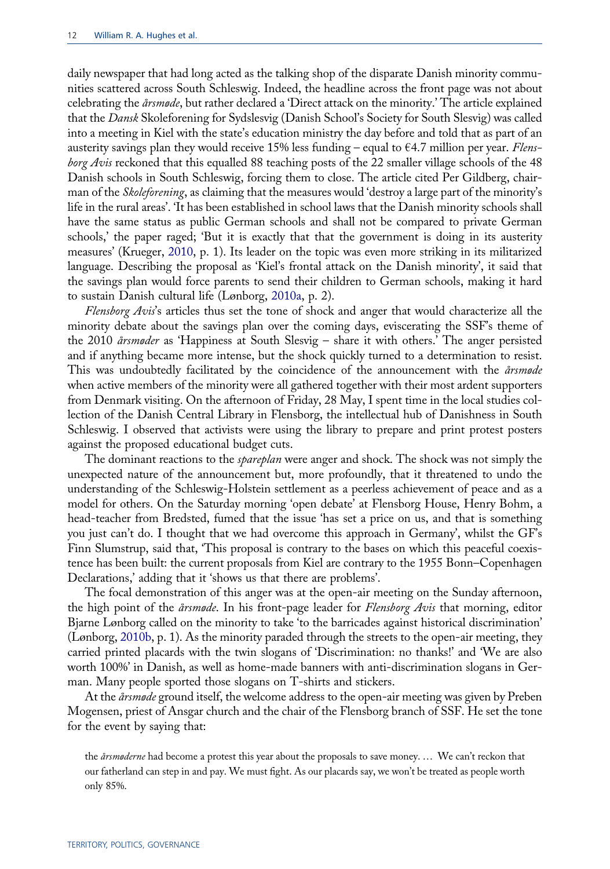<span id="page-12-0"></span>daily newspaper that had long acted as the talking shop of the disparate Danish minority communities scattered across South Schleswig. Indeed, the headline across the front page was not about celebrating the årsmøde, but rather declared a 'Direct attack on the minority.' The article explained that the Dansk Skoleforening for Sydslesvig (Danish School's Society for South Slesvig) was called into a meeting in Kiel with the state's education ministry the day before and told that as part of an austerity savings plan they would receive 15% less funding – equal to  $64.7$  million per year. Flensborg Avis reckoned that this equalled 88 teaching posts of the 22 smaller village schools of the 48 Danish schools in South Schleswig, forcing them to close. The article cited Per Gildberg, chairman of the Skoleforening, as claiming that the measures would 'destroy a large part of the minority's life in the rural areas'. 'It has been established in school laws that the Danish minority schools shall have the same status as public German schools and shall not be compared to private German schools,' the paper raged; 'But it is exactly that that the government is doing in its austerity measures' (Krueger, [2010](#page-17-0), p. 1). Its leader on the topic was even more striking in its militarized language. Describing the proposal as 'Kiel's frontal attack on the Danish minority', it said that the savings plan would force parents to send their children to German schools, making it hard to sustain Danish cultural life (Lønborg, [2010a,](#page-18-0) p. 2).

Flensborg Avis's articles thus set the tone of shock and anger that would characterize all the minority debate about the savings plan over the coming days, eviscerating the SSF's theme of the 2010 årsmøder as 'Happiness at South Slesvig – share it with others.' The anger persisted and if anything became more intense, but the shock quickly turned to a determination to resist. This was undoubtedly facilitated by the coincidence of the announcement with the *årsmode* when active members of the minority were all gathered together with their most ardent supporters from Denmark visiting. On the afternoon of Friday, 28 May, I spent time in the local studies collection of the Danish Central Library in Flensborg, the intellectual hub of Danishness in South Schleswig. I observed that activists were using the library to prepare and print protest posters against the proposed educational budget cuts.

The dominant reactions to the *spareplan* were anger and shock. The shock was not simply the unexpected nature of the announcement but, more profoundly, that it threatened to undo the understanding of the Schleswig-Holstein settlement as a peerless achievement of peace and as a model for others. On the Saturday morning 'open debate' at Flensborg House, Henry Bohm, a head-teacher from Bredsted, fumed that the issue 'has set a price on us, and that is something you just can't do. I thought that we had overcome this approach in Germany', whilst the GF's Finn Slumstrup, said that, 'This proposal is contrary to the bases on which this peaceful coexistence has been built: the current proposals from Kiel are contrary to the 1955 Bonn–Copenhagen Declarations,' adding that it 'shows us that there are problems'.

The focal demonstration of this anger was at the open-air meeting on the Sunday afternoon, the high point of the *årsmøde*. In his front-page leader for *Flensborg Avis* that morning, editor Bjarne Lønborg called on the minority to take 'to the barricades against historical discrimination' (Lønborg, [2010b](#page-18-0), p. 1). As the minority paraded through the streets to the open-air meeting, they carried printed placards with the twin slogans of 'Discrimination: no thanks!' and 'We are also worth 100%' in Danish, as well as home-made banners with anti-discrimination slogans in German. Many people sported those slogans on T-shirts and stickers.

At the *årsmøde* ground itself, the welcome address to the open-air meeting was given by Preben Mogensen, priest of Ansgar church and the chair of the Flensborg branch of SSF. He set the tone for the event by saying that:

the *årsmøderne* had become a protest this year about the proposals to save money. ... We can't reckon that our fatherland can step in and pay. We must fight. As our placards say, we won't be treated as people worth only 85%.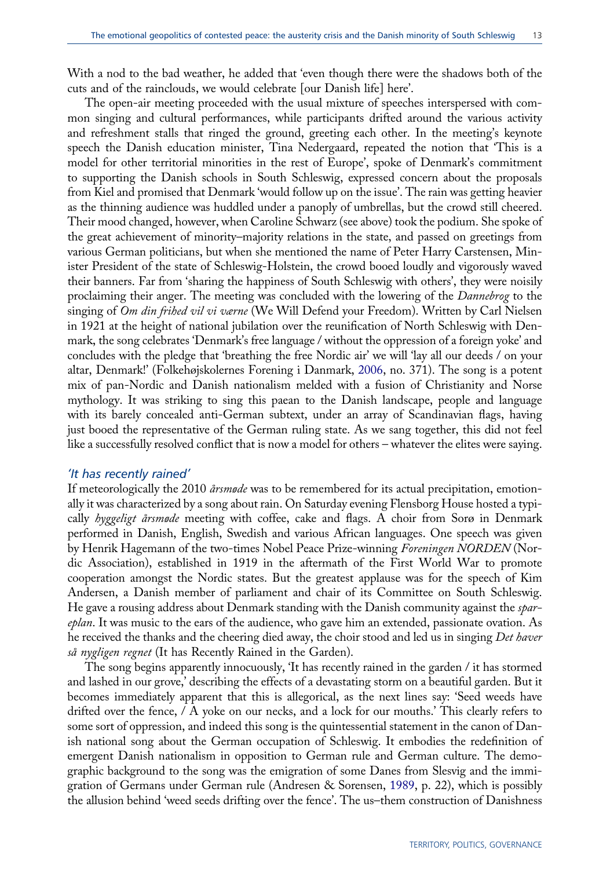<span id="page-13-0"></span>With a nod to the bad weather, he added that 'even though there were the shadows both of the cuts and of the rainclouds, we would celebrate [our Danish life] here'.

The open-air meeting proceeded with the usual mixture of speeches interspersed with common singing and cultural performances, while participants drifted around the various activity and refreshment stalls that ringed the ground, greeting each other. In the meeting's keynote speech the Danish education minister, Tina Nedergaard, repeated the notion that 'This is a model for other territorial minorities in the rest of Europe', spoke of Denmark's commitment to supporting the Danish schools in South Schleswig, expressed concern about the proposals from Kiel and promised that Denmark 'would follow up on the issue'. The rain was getting heavier as the thinning audience was huddled under a panoply of umbrellas, but the crowd still cheered. Their mood changed, however, when Caroline Schwarz (see above) took the podium. She spoke of the great achievement of minority–majority relations in the state, and passed on greetings from various German politicians, but when she mentioned the name of Peter Harry Carstensen, Minister President of the state of Schleswig-Holstein, the crowd booed loudly and vigorously waved their banners. Far from 'sharing the happiness of South Schleswig with others', they were noisily proclaiming their anger. The meeting was concluded with the lowering of the *Dannebrog* to the singing of Om din frihed vil vi værne (We Will Defend your Freedom). Written by Carl Nielsen in 1921 at the height of national jubilation over the reunification of North Schleswig with Denmark, the song celebrates 'Denmark's free language / without the oppression of a foreign yoke' and concludes with the pledge that 'breathing the free Nordic air' we will 'lay all our deeds / on your altar, Denmark!' (Folkehøjskolernes Forening i Danmark, [2006,](#page-17-0) no. 371). The song is a potent mix of pan-Nordic and Danish nationalism melded with a fusion of Christianity and Norse mythology. It was striking to sing this paean to the Danish landscape, people and language with its barely concealed anti-German subtext, under an array of Scandinavian flags, having just booed the representative of the German ruling state. As we sang together, this did not feel like a successfully resolved conflict that is now a model for others – whatever the elites were saying.

#### 'It has recently rained'

If meteorologically the 2010 *årsmøde* was to be remembered for its actual precipitation, emotionally it was characterized by a song about rain. On Saturday evening Flensborg House hosted a typically *hyggeligt årsmøde* meeting with coffee, cake and flags. A choir from Sorø in Denmark performed in Danish, English, Swedish and various African languages. One speech was given by Henrik Hagemann of the two-times Nobel Peace Prize-winning *Foreningen NORDEN* (Nordic Association), established in 1919 in the aftermath of the First World War to promote cooperation amongst the Nordic states. But the greatest applause was for the speech of Kim Andersen, a Danish member of parliament and chair of its Committee on South Schleswig. He gave a rousing address about Denmark standing with the Danish community against the *spar*eplan. It was music to the ears of the audience, who gave him an extended, passionate ovation. As he received the thanks and the cheering died away, the choir stood and led us in singing Det haver så nygligen regnet (It has Recently Rained in the Garden).

The song begins apparently innocuously, 'It has recently rained in the garden / it has stormed and lashed in our grove,' describing the effects of a devastating storm on a beautiful garden. But it becomes immediately apparent that this is allegorical, as the next lines say: 'Seed weeds have drifted over the fence, / A yoke on our necks, and a lock for our mouths.' This clearly refers to some sort of oppression, and indeed this song is the quintessential statement in the canon of Danish national song about the German occupation of Schleswig. It embodies the redefinition of emergent Danish nationalism in opposition to German rule and German culture. The demographic background to the song was the emigration of some Danes from Slesvig and the immigration of Germans under German rule (Andresen & Sorensen, [1989](#page-17-0), p. 22), which is possibly the allusion behind 'weed seeds drifting over the fence'. The us–them construction of Danishness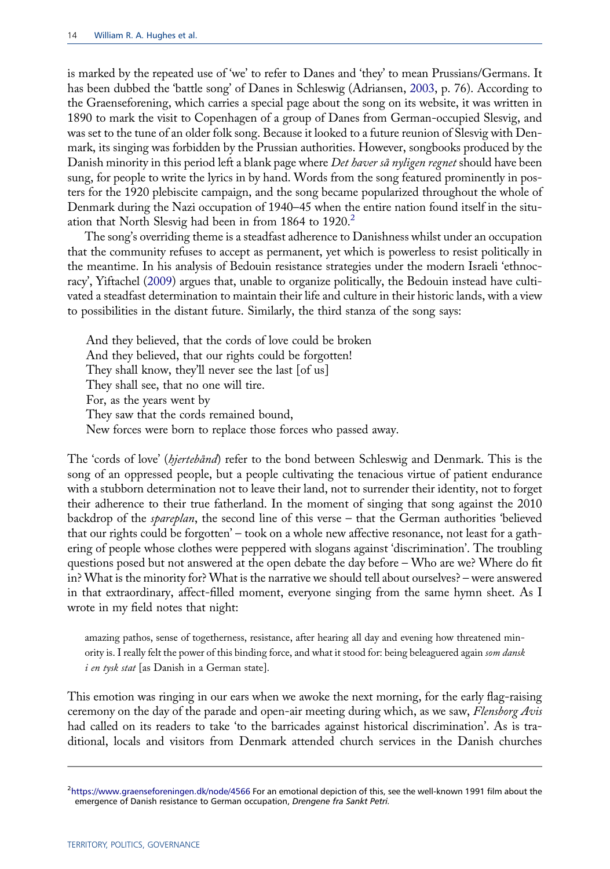<span id="page-14-0"></span>is marked by the repeated use of 'we' to refer to Danes and 'they' to mean Prussians/Germans. It has been dubbed the 'battle song' of Danes in Schleswig (Adriansen, [2003,](#page-16-0) p. 76). According to the Graenseforening, which carries a special page about the song on its website, it was written in 1890 to mark the visit to Copenhagen of a group of Danes from German-occupied Slesvig, and was set to the tune of an older folk song. Because it looked to a future reunion of Slesvig with Denmark, its singing was forbidden by the Prussian authorities. However, songbooks produced by the Danish minority in this period left a blank page where *Det haver så nyligen regnet* should have been sung, for people to write the lyrics in by hand. Words from the song featured prominently in posters for the 1920 plebiscite campaign, and the song became popularized throughout the whole of Denmark during the Nazi occupation of 1940–45 when the entire nation found itself in the situation that North Slesvig had been in from 1864 to 1920.<sup>2</sup>

The song's overriding theme is a steadfast adherence to Danishness whilst under an occupation that the community refuses to accept as permanent, yet which is powerless to resist politically in the meantime. In his analysis of Bedouin resistance strategies under the modern Israeli 'ethnocracy', Yiftachel [\(2009](#page-19-0)) argues that, unable to organize politically, the Bedouin instead have cultivated a steadfast determination to maintain their life and culture in their historic lands, with a view to possibilities in the distant future. Similarly, the third stanza of the song says:

And they believed, that the cords of love could be broken And they believed, that our rights could be forgotten! They shall know, they'll never see the last [of us] They shall see, that no one will tire. For, as the years went by They saw that the cords remained bound, New forces were born to replace those forces who passed away.

The 'cords of love' (hjertebånd) refer to the bond between Schleswig and Denmark. This is the song of an oppressed people, but a people cultivating the tenacious virtue of patient endurance with a stubborn determination not to leave their land, not to surrender their identity, not to forget their adherence to their true fatherland. In the moment of singing that song against the 2010 backdrop of the *spareplan*, the second line of this verse – that the German authorities 'believed that our rights could be forgotten' – took on a whole new affective resonance, not least for a gathering of people whose clothes were peppered with slogans against 'discrimination'. The troubling questions posed but not answered at the open debate the day before – Who are we? Where do fit in? What is the minority for? What is the narrative we should tell about ourselves? – were answered in that extraordinary, affect-filled moment, everyone singing from the same hymn sheet. As I wrote in my field notes that night:

amazing pathos, sense of togetherness, resistance, after hearing all day and evening how threatened minority is. I really felt the power of this binding force, and what it stood for: being beleaguered again som dansk i en tysk stat [as Danish in a German state].

This emotion was ringing in our ears when we awoke the next morning, for the early flag-raising ceremony on the day of the parade and open-air meeting during which, as we saw, Flensborg Avis had called on its readers to take 'to the barricades against historical discrimination'. As is traditional, locals and visitors from Denmark attended church services in the Danish churches

<sup>&</sup>lt;sup>2</sup><https://www.graenseforeningen.dk/node/4566> For an emotional depiction of this, see the well-known 1991 film about the emergence of Danish resistance to German occupation, Drengene fra Sankt Petri.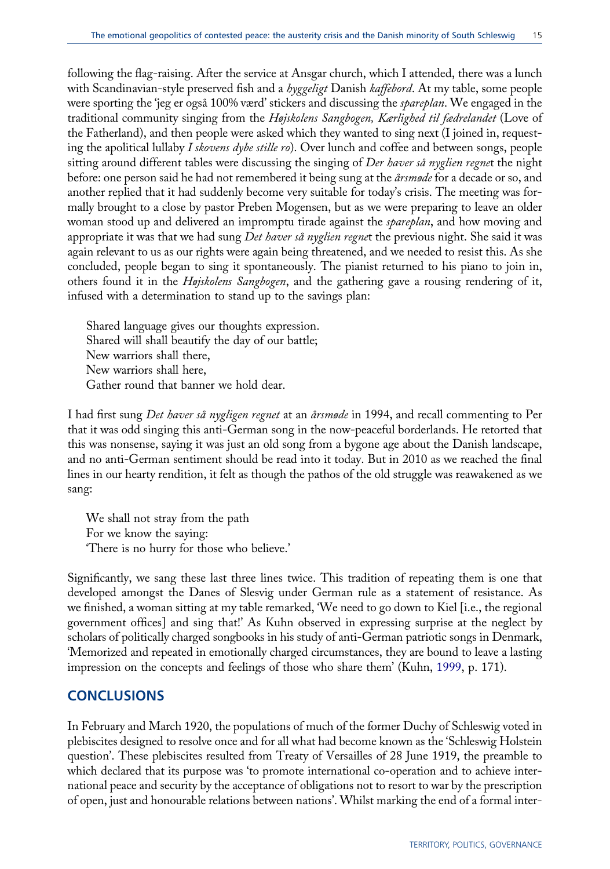<span id="page-15-0"></span>following the flag-raising. After the service at Ansgar church, which I attended, there was a lunch with Scandinavian-style preserved fish and a *hyggeligt* Danish kaffebord. At my table, some people were sporting the 'jeg er også 100% værd' stickers and discussing the spareplan. We engaged in the traditional community singing from the Højskolens Sangbogen, Kærlighed til fædrelandet (Love of the Fatherland), and then people were asked which they wanted to sing next (I joined in, requesting the apolitical lullaby I skovens dybe stille ro). Over lunch and coffee and between songs, people sitting around different tables were discussing the singing of Der haver så nyglien regnet the night before: one person said he had not remembered it being sung at the *årsmøde* for a decade or so, and another replied that it had suddenly become very suitable for today's crisis. The meeting was formally brought to a close by pastor Preben Mogensen, but as we were preparing to leave an older woman stood up and delivered an impromptu tirade against the *spareplan*, and how moving and appropriate it was that we had sung Det haver så nyglien regnet the previous night. She said it was again relevant to us as our rights were again being threatened, and we needed to resist this. As she concluded, people began to sing it spontaneously. The pianist returned to his piano to join in, others found it in the Højskolens Sangbogen, and the gathering gave a rousing rendering of it, infused with a determination to stand up to the savings plan:

Shared language gives our thoughts expression. Shared will shall beautify the day of our battle; New warriors shall there, New warriors shall here, Gather round that banner we hold dear.

I had first sung Det haver så nygligen regnet at an årsmøde in 1994, and recall commenting to Per that it was odd singing this anti-German song in the now-peaceful borderlands. He retorted that this was nonsense, saying it was just an old song from a bygone age about the Danish landscape, and no anti-German sentiment should be read into it today. But in 2010 as we reached the final lines in our hearty rendition, it felt as though the pathos of the old struggle was reawakened as we sang:

We shall not stray from the path For we know the saying: 'There is no hurry for those who believe.'

Significantly, we sang these last three lines twice. This tradition of repeating them is one that developed amongst the Danes of Slesvig under German rule as a statement of resistance. As we finished, a woman sitting at my table remarked, 'We need to go down to Kiel [i.e., the regional government offices] and sing that!' As Kuhn observed in expressing surprise at the neglect by scholars of politically charged songbooks in his study of anti-German patriotic songs in Denmark, 'Memorized and repeated in emotionally charged circumstances, they are bound to leave a lasting impression on the concepts and feelings of those who share them' (Kuhn, [1999](#page-17-0), p. 171).

## **CONCLUSIONS**

In February and March 1920, the populations of much of the former Duchy of Schleswig voted in plebiscites designed to resolve once and for all what had become known as the 'Schleswig Holstein question'. These plebiscites resulted from Treaty of Versailles of 28 June 1919, the preamble to which declared that its purpose was 'to promote international co-operation and to achieve international peace and security by the acceptance of obligations not to resort to war by the prescription of open, just and honourable relations between nations'. Whilst marking the end of a formal inter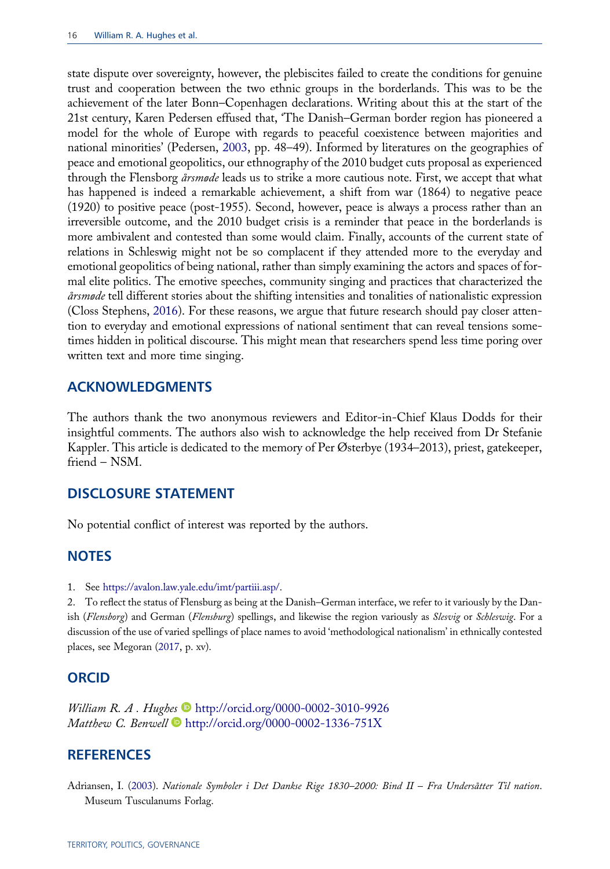<span id="page-16-0"></span>state dispute over sovereignty, however, the plebiscites failed to create the conditions for genuine trust and cooperation between the two ethnic groups in the borderlands. This was to be the achievement of the later Bonn–Copenhagen declarations. Writing about this at the start of the 21st century, Karen Pedersen effused that, 'The Danish–German border region has pioneered a model for the whole of Europe with regards to peaceful coexistence between majorities and national minorities' (Pedersen, [2003](#page-18-0), pp. 48–49). Informed by literatures on the geographies of peace and emotional geopolitics, our ethnography of the 2010 budget cuts proposal as experienced through the Flensborg årsmøde leads us to strike a more cautious note. First, we accept that what has happened is indeed a remarkable achievement, a shift from war (1864) to negative peace (1920) to positive peace (post-1955). Second, however, peace is always a process rather than an irreversible outcome, and the 2010 budget crisis is a reminder that peace in the borderlands is more ambivalent and contested than some would claim. Finally, accounts of the current state of relations in Schleswig might not be so complacent if they attended more to the everyday and emotional geopolitics of being national, rather than simply examining the actors and spaces of formal elite politics. The emotive speeches, community singing and practices that characterized the årsmøde tell different stories about the shifting intensities and tonalities of nationalistic expression (Closs Stephens, [2016\)](#page-17-0). For these reasons, we argue that future research should pay closer attention to everyday and emotional expressions of national sentiment that can reveal tensions sometimes hidden in political discourse. This might mean that researchers spend less time poring over written text and more time singing.

## ACKNOWLEDGMENTS

The authors thank the two anonymous reviewers and Editor-in-Chief Klaus Dodds for their insightful comments. The authors also wish to acknowledge the help received from Dr Stefanie Kappler. This article is dedicated to the memory of Per Østerbye (1934–2013), priest, gatekeeper, friend – NSM.

## DISCLOSURE STATEMENT

No potential conflict of interest was reported by the authors.

## **NOTES**

1. See <https://avalon.law.yale.edu/imt/partiii.asp/>.

2. To reflect the status of Flensburg as being at the Danish–German interface, we refer to it variously by the Danish (Flensborg) and German (Flensburg) spellings, and likewise the region variously as Slesvig or Schleswig. For a discussion of the use of varied spellings of place names to avoid 'methodological nationalism' in ethnically contested places, see Megoran [\(2017](#page-18-0), p. xv).

## **ORCID**

William R. A. Hughes  $\blacksquare$  <http://orcid.org/0000-0002-3010-9926> Matthew C. Benwell  $\blacksquare$  <http://orcid.org/0000-0002-1336-751X>

## **REFERENCES**

Adriansen, I. [\(2003](#page-8-0)). Nationale Symboler i Det Dankse Rige 1830–2000: Bind II – Fra Undersåtter Til nation. Museum Tusculanums Forlag.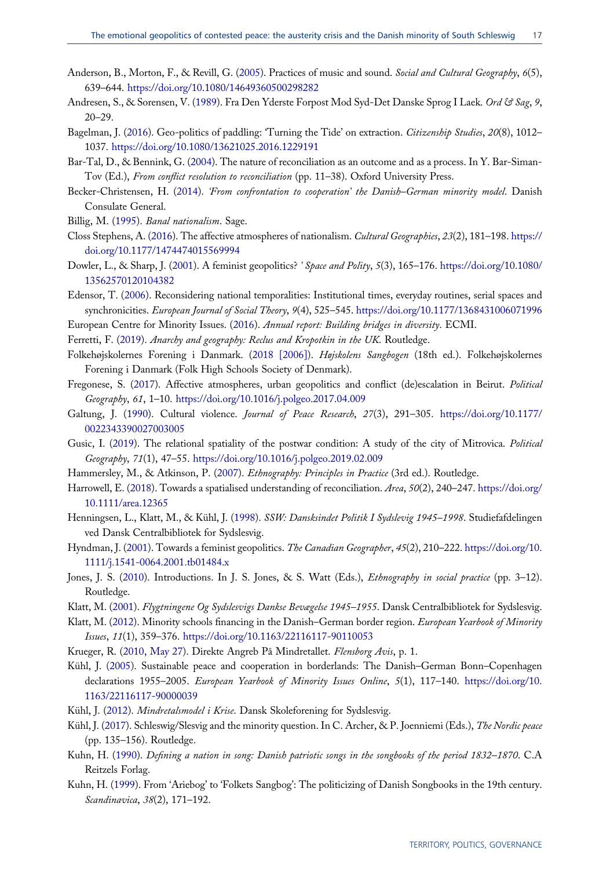- <span id="page-17-0"></span>Anderson, B., Morton, F., & Revill, G. [\(2005\)](#page-6-0). Practices of music and sound. Social and Cultural Geography, 6(5), 639–644. <https://doi.org/10.1080/14649360500298282>
- Andresen, S., & Sorensen, V. [\(1989](#page-13-0)). Fra Den Yderste Forpost Mod Syd-Det Danske Sprog I Laek. Ord & Sag, 9, 20–29.
- Bagelman, J. ([2016\)](#page-5-0). Geo-politics of paddling: 'Turning the Tide' on extraction. Citizenship Studies, 20(8), 1012– 1037. <https://doi.org/10.1080/13621025.2016.1229191>
- Bar-Tal, D., & Bennink, G. [\(2004](#page-5-0)). The nature of reconciliation as an outcome and as a process. In Y. Bar-Siman-Tov (Ed.), From conflict resolution to reconciliation (pp. 11–38). Oxford University Press.
- Becker-Christensen, H. [\(2014](#page-4-0)). 'From confrontation to cooperation' the Danish–German minority model. Danish Consulate General.
- Billig, M. [\(1995](#page-6-0)). Banal nationalism. Sage.
- Closs Stephens, A. [\(2016](#page-6-0)). The affective atmospheres of nationalism. Cultural Geographies, 23(2), 181–198. [https://](https://doi.org/10.1177/1474474015569994) [doi.org/10.1177/1474474015569994](https://doi.org/10.1177/1474474015569994)
- Dowler, L., & Sharp, J. [\(2001](#page-5-0)). A feminist geopolitics? ' Space and Polity, 5(3), 165–176. [https://doi.org/10.1080/](https://doi.org/10.1080/13562570120104382) [13562570120104382](https://doi.org/10.1080/13562570120104382)
- Edensor, T. ([2006\)](#page-6-0). Reconsidering national temporalities: Institutional times, everyday routines, serial spaces and synchronicities. European Journal of Social Theory, 9(4), 525-545. <https://doi.org/10.1177/1368431006071996>
- European Centre for Minority Issues. ([2016\)](#page-4-0). Annual report: Building bridges in diversity. ECMI.
- Ferretti, F. [\(2019](#page-7-0)). Anarchy and geography: Reclus and Kropotkin in the UK. Routledge.
- Folkehøjskolernes Forening i Danmark. [\(2018 \[2006\]\)](#page-13-0). Højskolens Sangbogen (18th ed.). Folkehøjskolernes Forening i Danmark (Folk High Schools Society of Denmark).
- Fregonese, S. [\(2017](#page-5-0)). Affective atmospheres, urban geopolitics and conflict (de)escalation in Beirut. Political Geography, 61, 1–10. <https://doi.org/10.1016/j.polgeo.2017.04.009>
- Galtung, J. ([1990\)](#page-5-0). Cultural violence. Journal of Peace Research, 27(3), 291-305. [https://doi.org/10.1177/](https://doi.org/10.1177/0022343390027003005) [0022343390027003005](https://doi.org/10.1177/0022343390027003005)
- Gusic, I. [\(2019](#page-5-0)). The relational spatiality of the postwar condition: A study of the city of Mitrovica. Political Geography, 71(1), 47–55. <https://doi.org/10.1016/j.polgeo.2019.02.009>
- Hammersley, M., & Atkinson, P. ([2007\)](#page-7-0). Ethnography: Principles in Practice (3rd ed.). Routledge.
- Harrowell, E. [\(2018](#page-5-0)). Towards a spatialised understanding of reconciliation. Area, 50(2), 240–247. [https://doi.org/](https://doi.org/10.1111/area.12365) [10.1111/area.12365](https://doi.org/10.1111/area.12365)
- Henningsen, L., Klatt, M., & Kühl, J. [\(1998](#page-4-0)). SSW: Dansksindet Politik I Sydslevig 1945–1998. Studiefafdelingen ved Dansk Centralbibliotek for Sydslesvig.
- Hyndman, J. [\(2001](#page-5-0)). Towards a feminist geopolitics. The Canadian Geographer, 45(2), 210–222. [https://doi.org/10.](https://doi.org/10.1111/j.1541-0064.2001.tb01484.x) [1111/j.1541-0064.2001.tb01484.x](https://doi.org/10.1111/j.1541-0064.2001.tb01484.x)
- Jones, J. S. (2010). Introductions. In J. S. Jones, & S. Watt (Eds.), Ethnography in social practice (pp. 3-12). Routledge.
- Klatt, M. [\(2001](#page-3-0)). Flygtningene Og Sydslesvigs Dankse Bevægelse 1945–1955. Dansk Centralbibliotek for Sydslesvig.
- Klatt, M. [\(2012](#page-4-0)). Minority schools financing in the Danish–German border region. European Yearbook of Minority Issues, 11(1), 359–376. <https://doi.org/10.1163/22116117-90110053>
- Krueger, R. ([2010, May 27\)](#page-12-0). Direkte Angreb På Mindretallet. Flensborg Avis, p. 1.
- Kühl, J. ([2005\)](#page-4-0). Sustainable peace and cooperation in borderlands: The Danish–German Bonn–Copenhagen declarations 1955–2005. European Yearbook of Minority Issues Online, 5(1), 117–140. [https://doi.org/10.](https://doi.org/10.1163/22116117-90000039) [1163/22116117-90000039](https://doi.org/10.1163/22116117-90000039)
- Kühl, J. [\(2012](#page-2-0)). Mindretalsmodel i Krise. Dansk Skoleforening for Sydslesvig.
- Kühl, J. ([2017\)](#page-4-0). Schleswig/Slesvig and the minority question. In C. Archer, & P. Joenniemi (Eds.), The Nordic peace (pp. 135–156). Routledge.
- Kuhn, H. ([1990\)](#page-6-0). Defining a nation in song: Danish patriotic songs in the songbooks of the period 1832–1870. C.A Reitzels Forlag.
- Kuhn, H. [\(1999](#page-15-0)). From 'Ariebog' to 'Folkets Sangbog': The politicizing of Danish Songbooks in the 19th century. Scandinavica, 38(2), 171–192.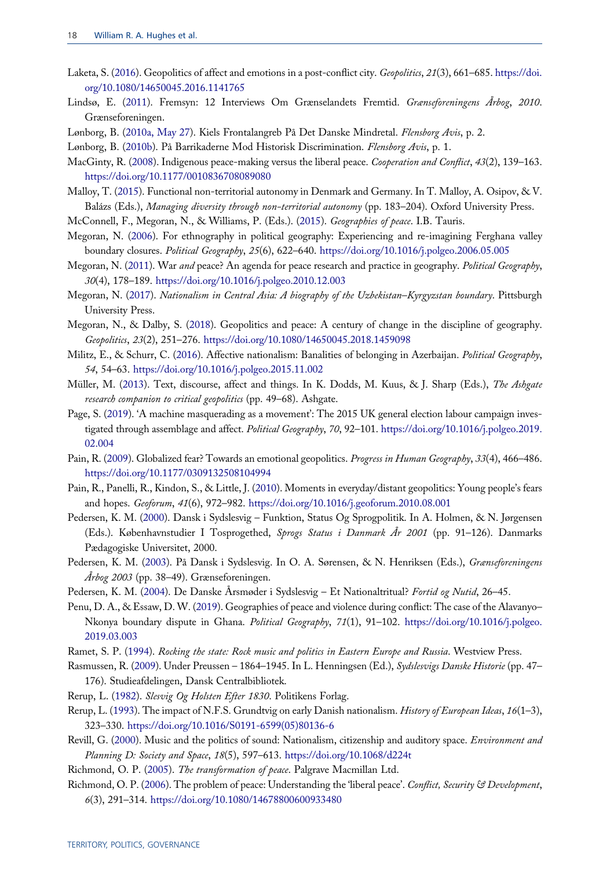- <span id="page-18-0"></span>Laketa, S. ([2016\)](#page-5-0). Geopolitics of affect and emotions in a post-conflict city. Geopolitics, 21(3), 661–685. [https://doi.](https://doi.org/10.1080/14650045.2016.1141765) [org/10.1080/14650045.2016.1141765](https://doi.org/10.1080/14650045.2016.1141765)
- Lindsø, E. ([2011\)](#page-11-0). Fremsyn: 12 Interviews Om Grænselandets Fremtid. Grænseforeningens Årbog, 2010. Grænseforeningen.
- Lønborg, B. ([2010a, May 27\)](#page-12-0). Kiels Frontalangreb På Det Danske Mindretal. Flensborg Avis, p. 2.
- Lønborg, B. ([2010b](#page-12-0)). På Barrikaderne Mod Historisk Discrimination. Flensborg Avis, p. 1.
- MacGinty, R. ([2008\)](#page-5-0). Indigenous peace-making versus the liberal peace. Cooperation and Conflict, 43(2), 139–163. <https://doi.org/10.1177/0010836708089080>
- Malloy, T. [\(2015](#page-2-0)). Functional non-territorial autonomy in Denmark and Germany. In T. Malloy, A. Osipov, & V. Balázs (Eds.), Managing diversity through non-territorial autonomy (pp. 183–204). Oxford University Press.
- McConnell, F., Megoran, N., & Williams, P. (Eds.). ([2015\)](#page-5-0). Geographies of peace. I.B. Tauris.
- Megoran, N. [\(2006](#page-7-0)). For ethnography in political geography: Experiencing and re-imagining Ferghana valley boundary closures. Political Geography, 25(6), 622–640. <https://doi.org/10.1016/j.polgeo.2006.05.005>
- Megoran, N. ([2011\)](#page-3-0). War and peace? An agenda for peace research and practice in geography. *Political Geography*, 30(4), 178–189. <https://doi.org/10.1016/j.polgeo.2010.12.003>
- Megoran, N. ([2017\)](#page-16-0). Nationalism in Central Asia: A biography of the Uzbekistan-Kyrgyzstan boundary. Pittsburgh University Press.
- Megoran, N., & Dalby, S. [\(2018](#page-4-0)). Geopolitics and peace: A century of change in the discipline of geography. Geopolitics, 23(2), 251–276. <https://doi.org/10.1080/14650045.2018.1459098>
- Militz, E., & Schurr, C. ([2016\)](#page-6-0). Affective nationalism: Banalities of belonging in Azerbaijan. Political Geography, 54, 54–63. <https://doi.org/10.1016/j.polgeo.2015.11.002>
- Müller, M. [\(2013](#page-5-0)). Text, discourse, affect and things. In K. Dodds, M. Kuus, & J. Sharp (Eds.), The Ashgate research companion to critical geopolitics (pp. 49–68). Ashgate.
- Page, S. ([2019\)](#page-7-0). 'A machine masquerading as a movement': The 2015 UK general election labour campaign investigated through assemblage and affect. Political Geography, 70, 92-101. [https://doi.org/10.1016/j.polgeo.2019.](https://doi.org/10.1016/j.polgeo.2019.02.004) [02.004](https://doi.org/10.1016/j.polgeo.2019.02.004)
- Pain, R. ([2009\)](#page-5-0). Globalized fear? Towards an emotional geopolitics. Progress in Human Geography, 33(4), 466–486. <https://doi.org/10.1177/0309132508104994>
- Pain, R., Panelli, R., Kindon, S., & Little, J. ([2010\)](#page-5-0). Moments in everyday/distant geopolitics: Young people's fears and hopes. Geoforum, 41(6), 972-982. <https://doi.org/10.1016/j.geoforum.2010.08.001>
- Pedersen, K. M. ([2000\)](#page-10-0). Dansk i Sydslesvig Funktion, Status Og Sprogpolitik. In A. Holmen, & N. Jørgensen (Eds.). Københavnstudier I Tosprogethed, Sprogs Status i Danmark År 2001 (pp. 91–126). Danmarks Pædagogiske Universitet, 2000.
- Pedersen, K. M. [\(2003](#page-16-0)). På Dansk i Sydslesvig. In O. A. Sørensen, & N. Henriksen (Eds.), Grænseforeningens Årbog 2003 (pp. 38–49). Grænseforeningen.
- Pedersen, K. M. [\(2004](#page-7-0)). De Danske Årsmøder i Sydslesvig Et Nationaltritual? Fortid og Nutid, 26–45.
- Penu, D. A., & Essaw, D. W. ([2019\)](#page-5-0). Geographies of peace and violence during conflict: The case of the Alavanyo– Nkonya boundary dispute in Ghana. Political Geography, 71(1), 91–102. [https://doi.org/10.1016/j.polgeo.](https://doi.org/10.1016/j.polgeo.2019.03.003) [2019.03.003](https://doi.org/10.1016/j.polgeo.2019.03.003)
- Ramet, S. P. ([1994](#page-6-0)). Rocking the state: Rock music and politics in Eastern Europe and Russia. Westview Press.
- Rasmussen, R. ([2009\)](#page-6-0). Under Preussen 1864–1945. In L. Henningsen (Ed.), Sydslesvigs Danske Historie (pp. 47– 176). Studieafdelingen, Dansk Centralbibliotek.
- Rerup, L. [\(1982](#page-2-0)). Slesvig Og Holsten Efter 1830. Politikens Forlag.
- Rerup, L. ([1993\)](#page-9-0). The impact of N.F.S. Grundtvig on early Danish nationalism. History of European Ideas, 16(1–3), 323–330. [https://doi.org/10.1016/S0191-6599\(05\)80136-6](https://doi.org/10.1016/S0191-6599(05)80136-6)
- Revill, G. ([2000\)](#page-6-0). Music and the politics of sound: Nationalism, citizenship and auditory space. Environment and Planning D: Society and Space, 18(5), 597–613. <https://doi.org/10.1068/d224t>
- Richmond, O. P. [\(2005](#page-4-0)). The transformation of peace. Palgrave Macmillan Ltd.
- Richmond, O. P. ([2006\)](#page-5-0). The problem of peace: Understanding the 'liberal peace'. Conflict, Security & Development, 6(3), 291–314. <https://doi.org/10.1080/14678800600933480>